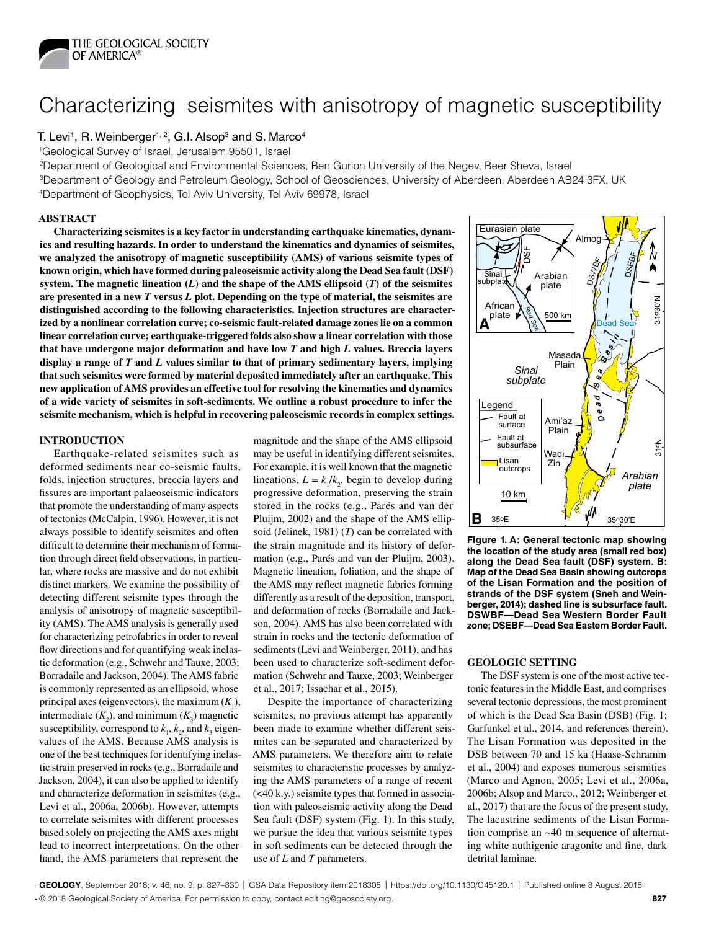

# Characterizing seismites with anisotropy of magnetic susceptibility

# T. Levi<sup>1</sup>, R. Weinberger<sup>1, 2</sup>, G.I. Alsop<sup>3</sup> and S. Marco<sup>4</sup>

1Geological Survey of Israel, Jerusalem 95501, Israel

2Department of Geological and Environmental Sciences, Ben Gurion University of the Negev, Beer Sheva, Israel 3Department of Geology and Petroleum Geology, School of Geosciences, University of Aberdeen, Aberdeen AB24 3FX, UK 4Department of Geophysics, Tel Aviv University, Tel Aviv 69978, Israel

## **ABSTRACT**

**Characterizing seismites is a key factor in understanding earthquake kinematics, dynamics and resulting hazards. In order to understand the kinematics and dynamics of seismites, we analyzed the anisotropy of magnetic susceptibility (AMS) of various seismite types of known origin, which have formed during paleoseismic activity along the Dead Sea fault (DSF) system. The magnetic lineation (***L***) and the shape of the AMS ellipsoid (***T***) of the seismites are presented in a new** *T* **versus** *L* **plot. Depending on the type of material, the seismites are distinguished according to the following characteristics. Injection structures are characterized by a nonlinear correlation curve; co-seismic fault-related damage zones lie on a common linear correlation curve; earthquake-triggered folds also show a linear correlation with those that have undergone major deformation and have low** *T* **and high** *L* **values. Breccia layers display a range of** *T* **and** *L* **values similar to that of primary sedimentary layers, implying that such seismites were formed by material deposited immediately after an earthquake. This new application of AMS provides an effective tool for resolving the kinematics and dynamics of a wide variety of seismites in soft-sediments. We outline a robust procedure to infer the seismite mechanism, which is helpful in recovering paleoseismic records in complex settings.**

## **INTRODUCTION**

Earthquake-related seismites such as deformed sediments near co-seismic faults, folds, injection structures, breccia layers and fissures are important palaeoseismic indicators that promote the understanding of many aspects of tectonics (McCalpin, 1996). However, it is not always possible to identify seismites and often difficult to determine their mechanism of formation through direct field observations, in particular, where rocks are massive and do not exhibit distinct markers. We examine the possibility of detecting different seismite types through the analysis of anisotropy of magnetic susceptibility (AMS). The AMS analysis is generally used for characterizing petrofabrics in order to reveal flow directions and for quantifying weak inelastic deformation (e.g., Schwehr and Tauxe, 2003; Borradaile and Jackson, 2004). The AMS fabric is commonly represented as an ellipsoid, whose principal axes (eigenvectors), the maximum  $(K_1)$ , intermediate  $(K_2)$ , and minimum  $(K_3)$  magnetic susceptibility, correspond to  $k_1$ ,  $k_2$ , and  $k_3$  eigenvalues of the AMS. Because AMS analysis is one of the best techniques for identifying inelastic strain preserved in rocks (e.g., Borradaile and Jackson, 2004), it can also be applied to identify and characterize deformation in seismites (e.g., Levi et al., 2006a, 2006b). However, attempts to correlate seismites with different processes based solely on projecting the AMS axes might lead to incorrect interpretations. On the other hand, the AMS parameters that represent the

magnitude and the shape of the AMS ellipsoid may be useful in identifying different seismites. For example, it is well known that the magnetic lineations,  $L = k_1 / k_2$ , begin to develop during progressive deformation, preserving the strain stored in the rocks (e.g., Parés and van der Pluijm, 2002) and the shape of the AMS ellipsoid (Jelinek, 1981) (*T*) can be correlated with the strain magnitude and its history of deformation (e.g., Parés and van der Pluijm, 2003). Magnetic lineation, foliation, and the shape of the AMS may reflect magnetic fabrics forming differently as a result of the deposition, transport, and deformation of rocks (Borradaile and Jackson, 2004). AMS has also been correlated with strain in rocks and the tectonic deformation of sediments (Levi and Weinberger, 2011), and has been used to characterize soft-sediment deformation (Schwehr and Tauxe, 2003; Weinberger et al., 2017; Issachar et al., 2015).

Despite the importance of characterizing seismites, no previous attempt has apparently been made to examine whether different seismites can be separated and characterized by AMS parameters. We therefore aim to relate seismites to characteristic processes by analyzing the AMS parameters of a range of recent (<40 k.y.) seismite types that formed in association with paleoseismic activity along the Dead Sea fault (DSF) system (Fig. 1). In this study, we pursue the idea that various seismite types in soft sediments can be detected through the use of *L* and *T* parameters.



**Figure 1. A: General tectonic map showing the location of the study area (small red box) along the Dead Sea fault (DSF) system. B: Map of the Dead Sea Basin showing outcrops of the Lisan Formation and the position of strands of the DSF system (Sneh and Weinberger, 2014); dashed line is subsurface fault. DSWBF—Dead Sea Western Border Fault zone; DSEBF—Dead Sea Eastern Border Fault.**

#### **GEOLOGIC SETTING**

The DSF system is one of the most active tectonic features in the Middle East, and comprises several tectonic depressions, the most prominent of which is the Dead Sea Basin (DSB) (Fig. 1; Garfunkel et al., 2014, and references therein). The Lisan Formation was deposited in the DSB between 70 and 15 ka (Haase-Schramm et al., 2004) and exposes numerous seismities (Marco and Agnon, 2005; Levi et al., 2006a, 2006b; Alsop and Marco., 2012; Weinberger et al., 2017) that are the focus of the present study. The lacustrine sediments of the Lisan Formation comprise an ~40 m sequence of alternating white authigenic aragonite and fine, dark detrital laminae.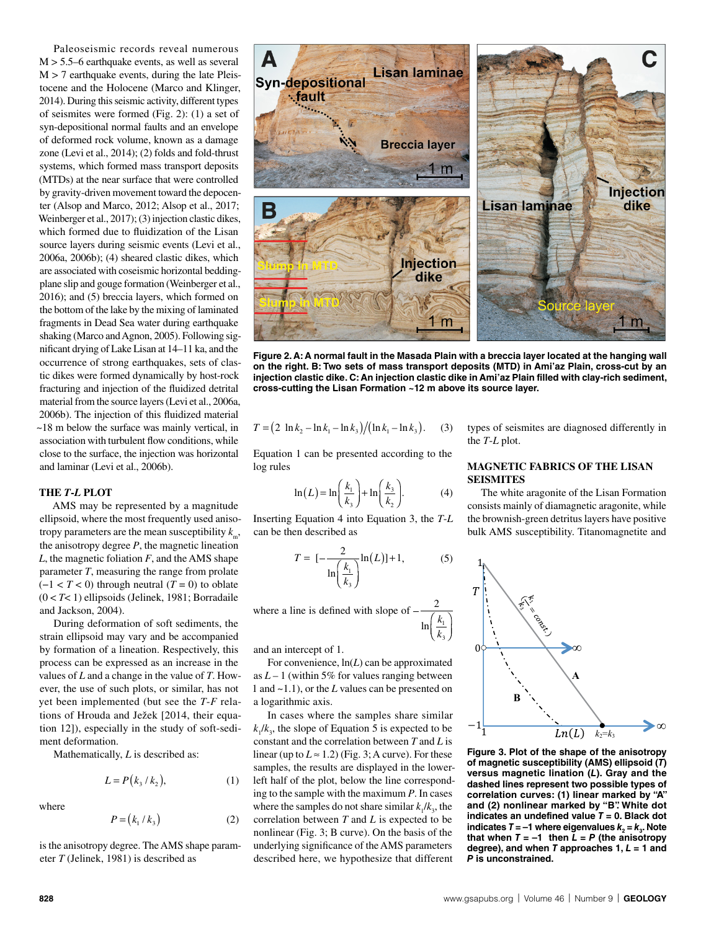Paleoseismic records reveal numerous  $M > 5.5-6$  earthquake events, as well as several  $M > 7$  earthquake events, during the late Pleistocene and the Holocene (Marco and Klinger, 2014). During this seismic activity, different types of seismites were formed (Fig. 2): (1) a set of syn-depositional normal faults and an envelope of deformed rock volume, known as a damage zone (Levi et al., 2014); (2) folds and fold-thrust systems, which formed mass transport deposits (MTDs) at the near surface that were controlled by gravity-driven movement toward the depocenter (Alsop and Marco, 2012; Alsop et al., 2017; Weinberger et al., 2017); (3) injection clastic dikes, which formed due to fluidization of the Lisan source layers during seismic events (Levi et al., 2006a, 2006b); (4) sheared clastic dikes, which are associated with coseismic horizontal beddingplane slip and gouge formation (Weinberger et al., 2016); and (5) breccia layers, which formed on the bottom of the lake by the mixing of laminated fragments in Dead Sea water during earthquake shaking (Marco and Agnon, 2005). Following significant drying of Lake Lisan at 14–11 ka, and the occurrence of strong earthquakes, sets of clastic dikes were formed dynamically by host-rock fracturing and injection of the fluidized detrital material from the source layers (Levi et al., 2006a, 2006b). The injection of this fluidized material ~18 m below the surface was mainly vertical, in association with turbulent flow conditions, while close to the surface, the injection was horizontal and laminar (Levi et al., 2006b).

#### **THE** *T***-***L* **PLOT**

AMS may be represented by a magnitude ellipsoid, where the most frequently used anisotropy parameters are the mean susceptibility  $k_m$ , the anisotropy degree *P*, the magnetic lineation *L*, the magnetic foliation *F*, and the AMS shape parameter *T*, measuring the range from prolate (−1 < *T* < 0) through neutral (*T* = 0) to oblate (0 < *T*< 1) ellipsoids (Jelinek, 1981; Borradaile and Jackson, 2004).

During deformation of soft sediments, the strain ellipsoid may vary and be accompanied by formation of a lineation. Respectively, this process can be expressed as an increase in the values of *L* and a change in the value of *T*. However, the use of such plots, or similar, has not yet been implemented (but see the *T*-*F* relations of Hrouda and Ježek [2014, their equation 12]), especially in the study of soft-sediment deformation.

Mathematically, *L* is described as:

$$
L = P(k_3 / k_2), \tag{1}
$$

where

$$
P = (k_1 / k_3) \tag{2}
$$

is the anisotropy degree. The AMS shape parameter *T* (Jelinek, 1981) is described as

**Figure 2. A: A normal fault in the Masada Plain with a breccia layer located at the hanging wall on the right. B: Two sets of mass transport deposits (MTD) in Ami'az Plain, cross-cut by an injection clastic dike. C: An injection clastic dike in Ami'az Plain filled with clay-rich sediment, cross-cutting the Lisan Formation ~12 m above its source layer.**

 $k<sub>3</sub>$ 

$$
T = (2 \ln k_2 - \ln k_1 - \ln k_3) / (\ln k_1 - \ln k_3). \tag{3}
$$

Equation 1 can be presented according to the log rules

$$
\ln(L) = \ln\left(\frac{k_1}{k_3}\right) + \ln\left(\frac{k_3}{k_2}\right). \tag{4}
$$

Inserting Equation 4 into Equation 3, the *T*-*L* can be then described as

$$
T = \left[-\frac{2}{\ln\left(\frac{k_1}{k_3}\right)}\ln(L)\right] + 1,\tag{5}
$$

where a line is defined with slope of  $\ln\left(\frac{k_1}{1}\right)$ 

and an intercept of 1.

For convenience, ln(*L*) can be approximated as  $L-1$  (within 5% for values ranging between 1 and ~1.1), or the *L* values can be presented on a logarithmic axis.

In cases where the samples share similar  $k_1/k_3$ , the slope of Equation 5 is expected to be constant and the correlation between *T* and *L* is linear (up to  $L \approx 1.2$ ) (Fig. 3; A curve). For these samples, the results are displayed in the lowerleft half of the plot, below the line corresponding to the sample with the maximum *P*. In cases where the samples do not share similar  $k_1/k_3$ , the correlation between *T* and *L* is expected to be nonlinear (Fig. 3; B curve). On the basis of the underlying significance of the AMS parameters described here, we hypothesize that different

types of seismites are diagnosed differently in the *T*-*L* plot.

## **MAGNETIC FABRICS OF THE LISAN SEISMITES**

The white aragonite of the Lisan Formation consists mainly of diamagnetic aragonite, while the brownish-green detritus layers have positive bulk AMS susceptibility. Titanomagnetite and



**Figure 3. Plot of the shape of the anisotropy of magnetic susceptibility (AMS) ellipsoid (***T***) versus magnetic lination (***L***). Gray and the dashed lines represent two possible types of correlation curves: (1) linear marked by "A" and (2) nonlinear marked by "B". White dot**  indicates an undefined value  $T = 0$ . Black dot **indicates**  $T = -1$  **where eigenvalues**  $k_2 = k_3$ **. Note that when**  $T = -1$  **then**  $\overline{L} = P$  **(the anisotropy degree), and when** *T* **approaches 1,** *L* **= 1 and**  *P* **is unconstrained.**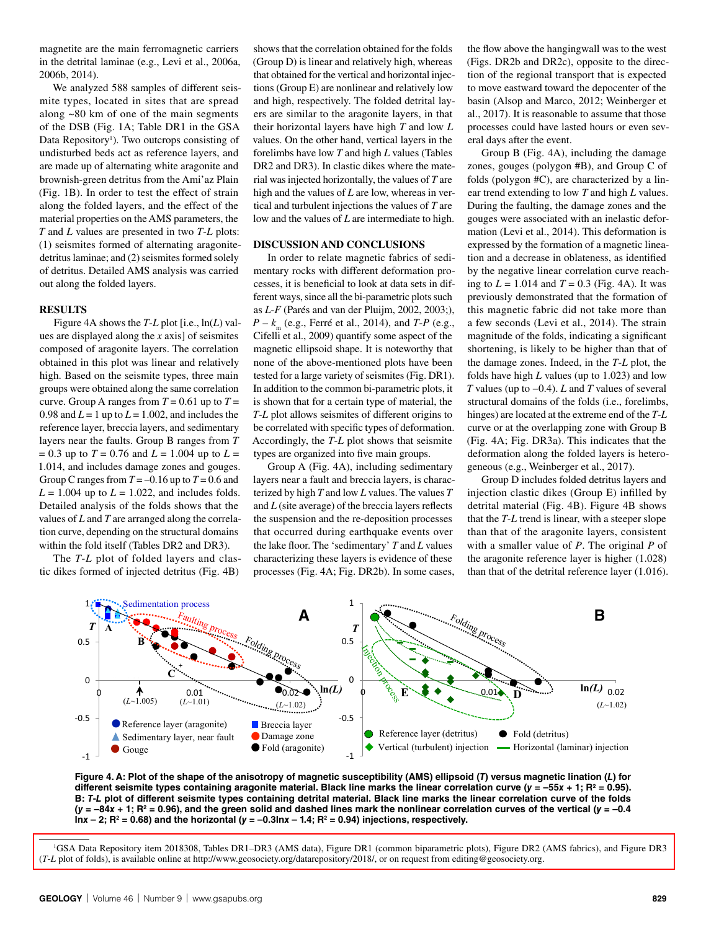magnetite are the main ferromagnetic carriers in the detrital laminae (e.g., Levi et al., 2006a, 2006b, 2014).

We analyzed 588 samples of different seismite types, located in sites that are spread along ~80 km of one of the main segments of the DSB (Fig. 1A; Table DR1 in the GSA Data Repository<sup>1</sup>). Two outcrops consisting of undisturbed beds act as reference layers, and are made up of alternating white aragonite and brownish-green detritus from the Ami'az Plain (Fig. 1B). In order to test the effect of strain along the folded layers, and the effect of the material properties on the AMS parameters, the *T* and *L* values are presented in two *T*-*L* plots: (1) seismites formed of alternating aragonitedetritus laminae; and (2) seismites formed solely of detritus. Detailed AMS analysis was carried out along the folded layers.

## **RESULTS**

Figure 4A shows the *T*-*L* plot [i.e., ln(*L*) values are displayed along the *x* axis] of seismites composed of aragonite layers. The correlation obtained in this plot was linear and relatively high. Based on the seismite types, three main groups were obtained along the same correlation curve. Group A ranges from  $T = 0.61$  up to  $T =$ 0.98 and  $L = 1$  up to  $L = 1.002$ , and includes the reference layer, breccia layers, and sedimentary layers near the faults. Group B ranges from *T*  $= 0.3$  up to  $T = 0.76$  and  $L = 1.004$  up to  $L =$ 1.014, and includes damage zones and gouges. Group C ranges from  $T = -0.16$  up to  $T = 0.6$  and  $L = 1.004$  up to  $L = 1.022$ , and includes folds. Detailed analysis of the folds shows that the values of *L* and *T* are arranged along the correlation curve, depending on the structural domains within the fold itself (Tables DR2 and DR3).

The *T*-*L* plot of folded layers and clastic dikes formed of injected detritus (Fig. 4B)

shows that the correlation obtained for the folds (Group D) is linear and relatively high, whereas that obtained for the vertical and horizontal injections (Group E) are nonlinear and relatively low and high, respectively. The folded detrital layers are similar to the aragonite layers, in that their horizontal layers have high *T* and low *L* values. On the other hand, vertical layers in the forelimbs have low *T* and high *L* values (Tables DR2 and DR3). In clastic dikes where the material was injected horizontally, the values of *T* are high and the values of *L* are low, whereas in vertical and turbulent injections the values of *T* are low and the values of *L* are intermediate to high.

## **DISCUSSION AND CONCLUSIONS**

In order to relate magnetic fabrics of sedimentary rocks with different deformation processes, it is beneficial to look at data sets in different ways, since all the bi-parametric plots such as *L*-*F* (Parés and van der Pluijm, 2002, 2003;), *P* – *k*m (e.g., Ferré et al., 2014), and *T*-*P* (e.g., Cifelli et al., 2009) quantify some aspect of the magnetic ellipsoid shape. It is noteworthy that none of the above-mentioned plots have been tested for a large variety of seismites (Fig. DR1). In addition to the common bi-parametric plots, it is shown that for a certain type of material, the *T*-*L* plot allows seismites of different origins to be correlated with specific types of deformation. Accordingly, the *T*-*L* plot shows that seismite types are organized into five main groups.

Group A (Fig. 4A), including sedimentary layers near a fault and breccia layers, is characterized by high *T* and low *L* values. The values *T* and *L* (site average) of the breccia layers reflects the suspension and the re-deposition processes that occurred during earthquake events over the lake floor. The 'sedimentary' *T* and *L* values characterizing these layers is evidence of these processes (Fig. 4A; Fig. DR2b). In some cases,

the flow above the hangingwall was to the west (Figs. DR2b and DR2c), opposite to the direction of the regional transport that is expected to move eastward toward the depocenter of the basin (Alsop and Marco, 2012; Weinberger et al., 2017). It is reasonable to assume that those processes could have lasted hours or even several days after the event.

Group B (Fig. 4A), including the damage zones, gouges (polygon #B), and Group C of folds (polygon #C), are characterized by a linear trend extending to low *T* and high *L* values. During the faulting, the damage zones and the gouges were associated with an inelastic deformation (Levi et al., 2014). This deformation is expressed by the formation of a magnetic lineation and a decrease in oblateness, as identified by the negative linear correlation curve reaching to  $L = 1.014$  and  $T = 0.3$  (Fig. 4A). It was previously demonstrated that the formation of this magnetic fabric did not take more than a few seconds (Levi et al., 2014). The strain magnitude of the folds, indicating a significant shortening, is likely to be higher than that of the damage zones. Indeed, in the *T*-*L* plot, the folds have high *L* values (up to 1.023) and low *T* values (up to −0.4). *L* and *T* values of several structural domains of the folds (i.e., forelimbs, hinges) are located at the extreme end of the *T*-*L* curve or at the overlapping zone with Group B (Fig. 4A; Fig. DR3a). This indicates that the deformation along the folded layers is heterogeneous (e.g., Weinberger et al., 2017).

Group D includes folded detritus layers and injection clastic dikes (Group E) infilled by detrital material (Fig. 4B). Figure 4B shows that the *T*-*L* trend is linear, with a steeper slope than that of the aragonite layers, consistent with a smaller value of *P*. The original *P* of the aragonite reference layer is higher (1.028) than that of the detrital reference layer (1.016).



**Figure 4. A: Plot of the shape of the anisotropy of magnetic susceptibility (AMS) ellipsoid (***T***) versus magnetic lination (***L***) for different seismite types containing aragonite material. Black line marks the linear correlation curve (***y* **= –55***x* **+ 1; R2 = 0.95). B:** *T***-***L* **plot of different seismite types containing detrital material. Black line marks the linear correlation curve of the folds**   $(y = -84x + 1; R^2 = 0.96)$ , and the green solid and dashed lines mark the nonlinear correlation curves of the vertical  $(y = -0.4$ lnx  $-$  2; R<sup>2</sup> = 0.68) and the horizontal ( $y = -0.3$ lnx  $-$  1.4; R<sup>2</sup> = 0.94) injections, respectively.

[<sup>1</sup>GSA Data Repository item 2018308, Tables DR1–DR3 \(AMS data\), Figure DR1 \(common biparametric plots\), Figure DR2 \(AMS fabrics\), and Figure DR3](http://www.geosociety.org/datarepository/2018/)  (*T*-*L* plot of folds), is available online at http://www.geosociety.org/datarepository/2018/, or on request from editing@geosociety.org.